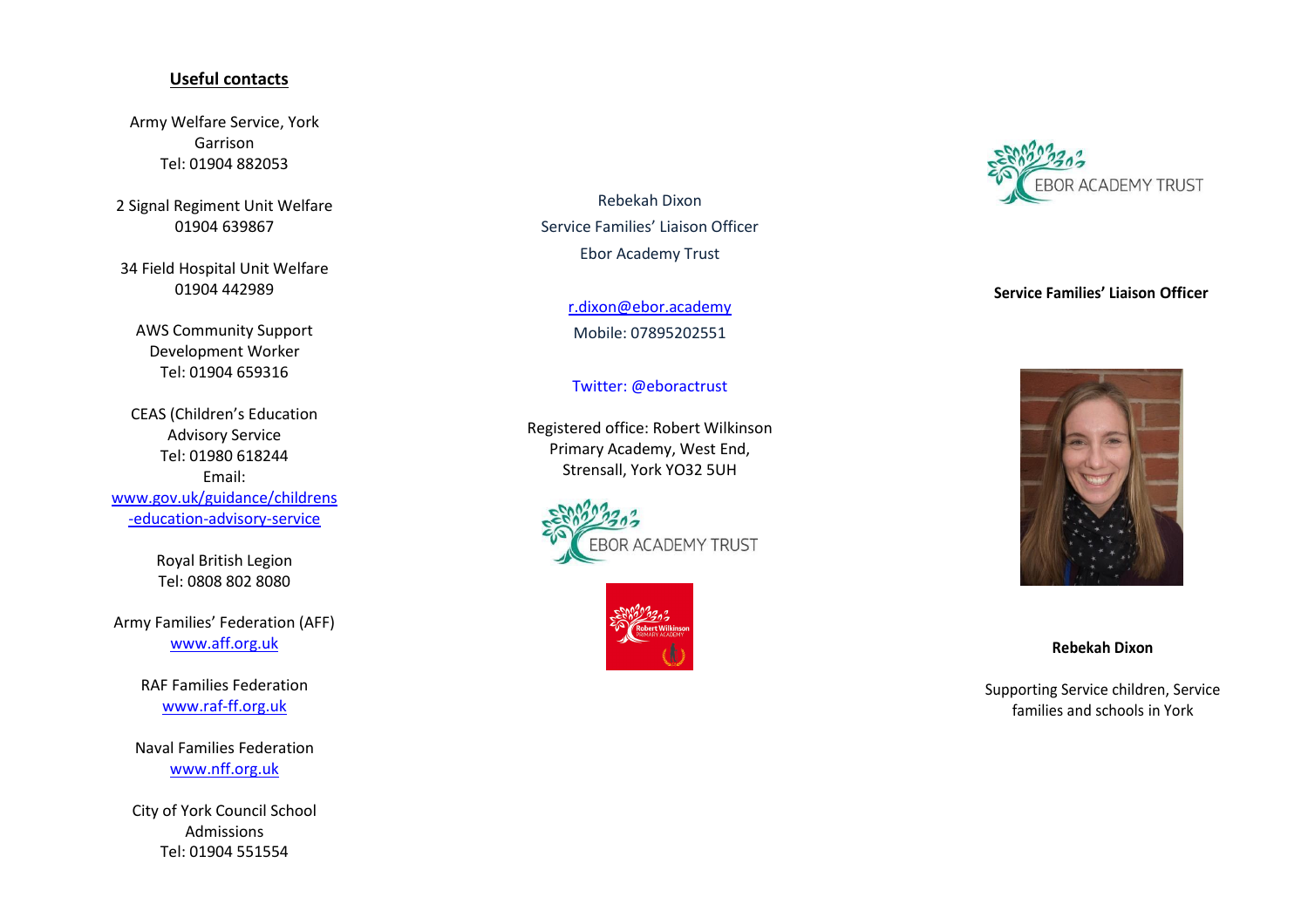## **Useful contacts**

Army Welfare Service, York Garrison Tel: 01904 882053

2 Signal Regiment Unit Welfare 01904 639867

34 Field Hospital Unit Welfare 01904 442989

AWS Community Support Development Worker Tel: 01904 659316

CEAS (Children's Education Advisory Service Tel: 01980 618244 Email: [www.gov.uk/guidance/childrens](http://www.gov.uk/guidance/childrens-education-advisory-service) [-education-advisory-service](http://www.gov.uk/guidance/childrens-education-advisory-service)

> Royal British Legion Tel: 0808 802 8080

Army Families' Federation (AFF) [www.aff.org.uk](http://www.aff.org.uk/)

> RAF Families Federation [www.raf-ff.org.uk](http://www.raf-ff.org.uk/)

Naval Families Federation [www.nff.org.uk](http://www.nff.org.uk/)

City of York Council School Admissions Tel: 01904 551554

Rebekah Dixon Service Families' Liaison Officer Ebor Academy Trust

> [r.dixon@ebor.academy](mailto:r.dixon@ebor.academy) Mobile: 07895202551

Twitter: @eboractrust

Registered office: Robert Wilkinson Primary Academy, West End, Strensall, York YO32 5UH







# **Service Families' Liaison Officer**



## **Rebekah Dixon**

Supporting Service children, Service families and schools in York